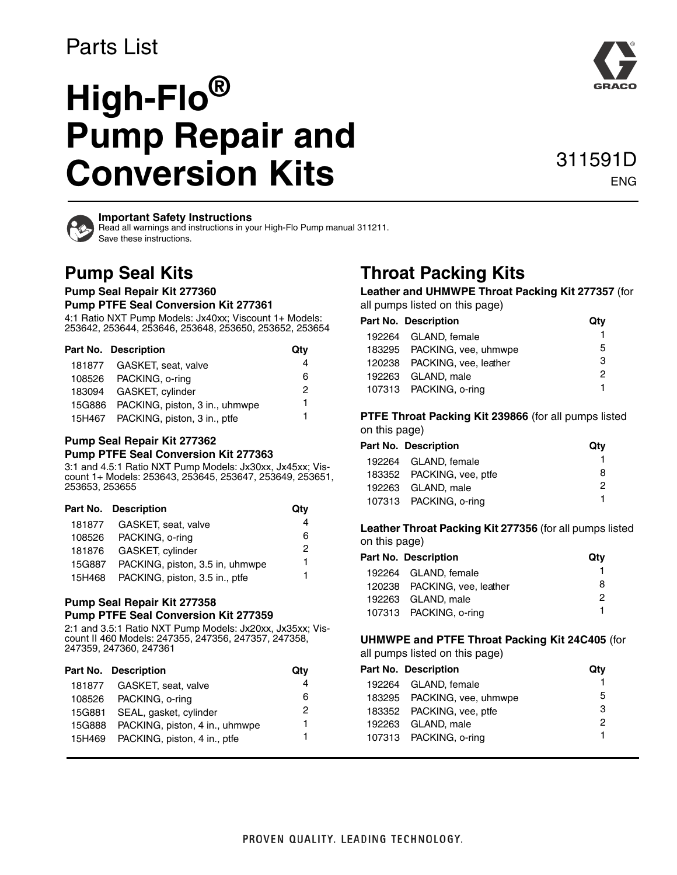# Parts List

# **High-Flo® Pump Repair and Conversion Kits**

# 311591D ENG



#### **Important Safety Instructions**

Read all warnings and instructions in your High-Flo Pump manual 311211. Save these instructions.

# **Pump Seal Kits**

**Pump Seal Repair Kit 277360**

#### **Pump PTFE Seal Conversion Kit 277361**

4:1 Ratio NXT Pump Models: Jx40xx; Viscount 1+ Models: 253642, 253644, 253646, 253648, 253650, 253652, 253654

| Part No. Description                  | Qty |
|---------------------------------------|-----|
| 181877 GASKET, seat, valve            |     |
| 108526 PACKING, o-ring                | 6   |
| 183094 GASKET, cylinder               | 2   |
| 15G886 PACKING, piston, 3 in., uhmwpe | 1   |
| 15H467 PACKING, piston, 3 in., ptfe   |     |

### **Pump Seal Repair Kit 277362**

#### **Pump PTFE Seal Conversion Kit 277363**

3:1 and 4.5:1 Ratio NXT Pump Models: Jx30xx, Jx45xx; Viscount 1+ Models: 253643, 253645, 253647, 253649, 253651, 253653, 253655

| Part No. Description                   | Qty |
|----------------------------------------|-----|
| 181877 GASKET, seat, valve             | 4   |
| 108526 PACKING, o-ring                 | 6   |
| 181876 GASKET, cylinder                | 2   |
| 15G887 PACKING, piston, 3.5 in, uhmwpe | 1.  |
| 15H468 PACKING, piston, 3.5 in., ptfe  | 1   |

## **Pump Seal Repair Kit 277358**

**Pump PTFE Seal Conversion Kit 277359** 2:1 and 3.5:1 Ratio NXT Pump Models: Jx20xx, Jx35xx; Vis-

count II 460 Models: 247355, 247356, 247357, 247358, 247359, 247360, 247361

| Part No. Description                  | Qtv |
|---------------------------------------|-----|
| 181877 GASKET, seat, valve            | 4   |
| 108526 PACKING, o-ring                | 6   |
| 15G881 SEAL, gasket, cylinder         | 2   |
| 15G888 PACKING, piston, 4 in., uhmwpe | 1   |
| 15H469 PACKING, piston, 4 in., ptfe   |     |
|                                       |     |

# **Throat Packing Kits**

**Leather and UHMWPE Throat Packing Kit 277357** (for all pumps listed on this page)

| Part No. Description         | Qtv |
|------------------------------|-----|
| 192264 GLAND, female         |     |
| 183295 PACKING, vee, uhmwpe  | 5   |
| 120238 PACKING, vee, leather | З   |
| 192263 GLAND, male           | 2   |
| 107313 PACKING, o-ring       | 1   |

**PTFE Throat Packing Kit 239866** (for all pumps listed on this page)

| <b>Part No. Description</b> | Qtv |
|-----------------------------|-----|
| 192264 GLAND, female        |     |
| 183352 PACKING, vee, ptfe   | 8.  |
| 192263 GLAND, male          | 2   |
| 107313 PACKING, o-ring      |     |
|                             |     |

**Leather Throat Packing Kit 277356** (for all pumps listed on this page)

| <b>Part No. Description</b>  | Qtv |
|------------------------------|-----|
| 192264 GLAND, female         |     |
| 120238 PACKING, vee, leather | 8   |
| 192263 GLAND, male           | 2   |
| 107313 PACKING, o-ring       |     |

#### **UHMWPE and PTFE Throat Packing Kit 24C405** (for all pumps listed on this page)

| an parripo notoa on tino pago) |                             |     |  |
|--------------------------------|-----------------------------|-----|--|
|                                | Part No. Description        | Qtv |  |
|                                | 192264 GLAND, female        |     |  |
|                                | 183295 PACKING, vee, uhmwpe | 5   |  |
|                                | 183352 PACKING, vee, ptfe   | 3   |  |
|                                | 192263 GLAND, male          | 2   |  |
|                                | 107313 PACKING, o-ring      | 1   |  |
|                                |                             |     |  |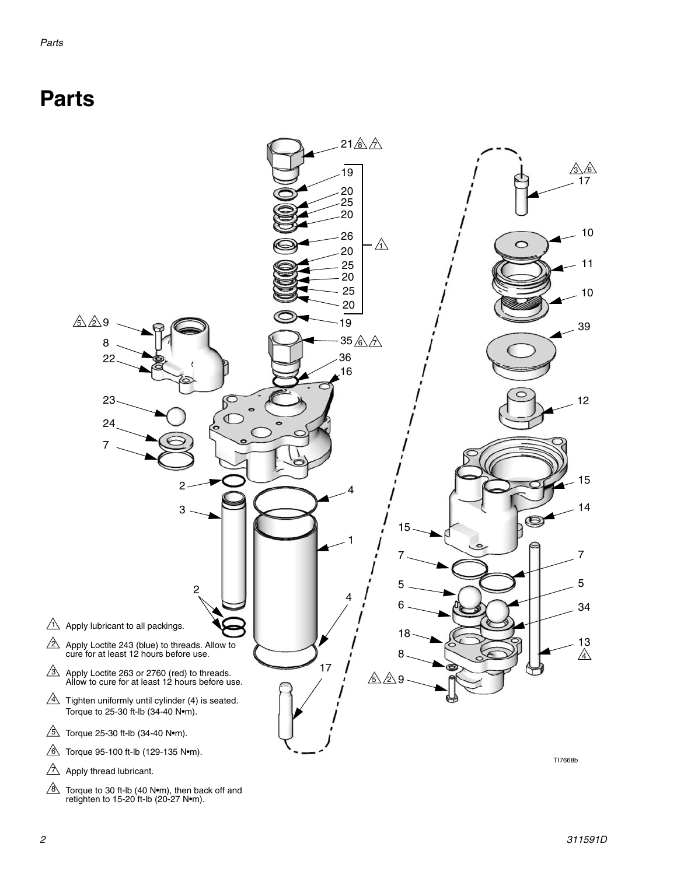# **Parts**

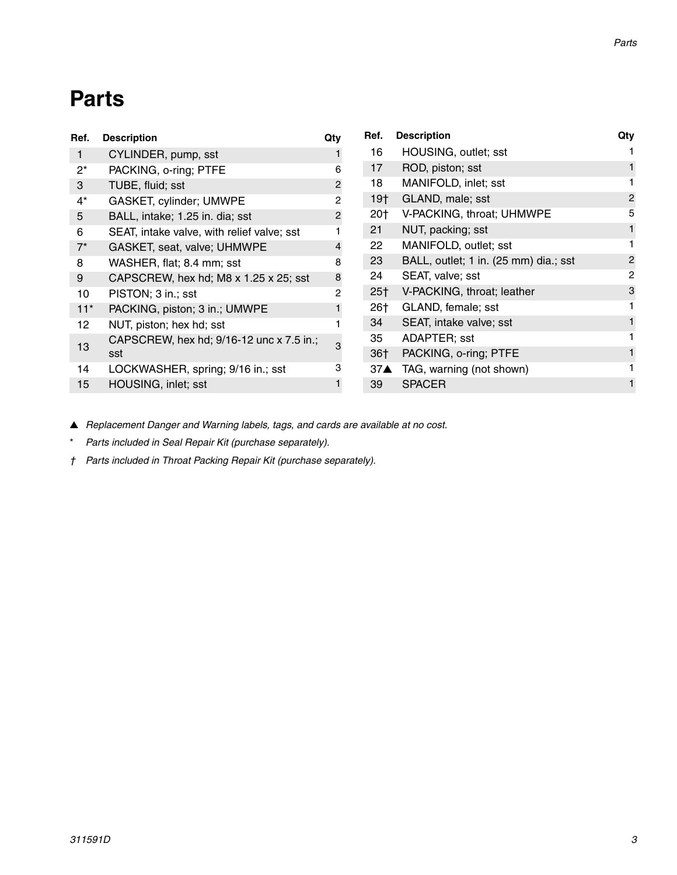# **Parts**

| Ref.  | <b>Description</b>                         | Qty | Ref.  | <b>Description</b>                    | Qty           |
|-------|--------------------------------------------|-----|-------|---------------------------------------|---------------|
| 1.    | CYLINDER, pump, sst                        |     | 16    | HOUSING, outlet; sst                  |               |
| $2^*$ | PACKING, o-ring; PTFE                      | 6   | 17    | ROD, piston; sst                      |               |
| 3     | TUBE, fluid; sst                           | 2   | 18    | MANIFOLD, inlet; sst                  |               |
| $4^*$ | GASKET, cylinder; UMWPE                    | 2   | 19†   | GLAND, male; sst                      | 2             |
| 5     | BALL, intake; 1.25 in. dia; sst            | 2   | 20†   | V-PACKING, throat; UHMWPE             | 5             |
| 6     | SEAT, intake valve, with relief valve; sst |     | 21    | NUT, packing; sst                     |               |
| $7^*$ | GASKET, seat, valve; UHMWPE                |     | 22    | MANIFOLD, outlet; sst                 |               |
| 8     | WASHER, flat; 8.4 mm; sst                  | 8   | 23    | BALL, outlet; 1 in. (25 mm) dia.; sst | $\mathcal{P}$ |
| 9     | CAPSCREW, hex hd; M8 x 1.25 x 25; sst      | 8   | 24    | SEAT, valve; sst                      | 2             |
| 10    | PISTON; 3 in.; sst                         | 2   | $25+$ | V-PACKING, throat; leather            | 3             |
| $11*$ | PACKING, piston; 3 in.; UMWPE              |     | 26†   | GLAND, female; sst                    |               |
| 12    | NUT, piston; hex hd; sst                   |     | 34    | SEAT, intake valve; sst               |               |
|       | CAPSCREW, hex hd; 9/16-12 unc x 7.5 in.;   |     | 35    | ADAPTER; sst                          |               |
| 13    | sst                                        |     | $36+$ | PACKING, o-ring; PTFE                 |               |
| 14    | LOCKWASHER, spring; 9/16 in.; sst          | З   | $37^$ | TAG, warning (not shown)              |               |
| 15    | HOUSING, inlet; sst                        |     | 39    | <b>SPACER</b>                         |               |
|       |                                            |     |       |                                       |               |

▲ *Replacement Danger and Warning labels, tags, and cards are available at no cost.*

\* *Parts included in Seal Repair Kit (purchase separately).*

*† Parts included in Throat Packing Repair Kit (purchase separately).*